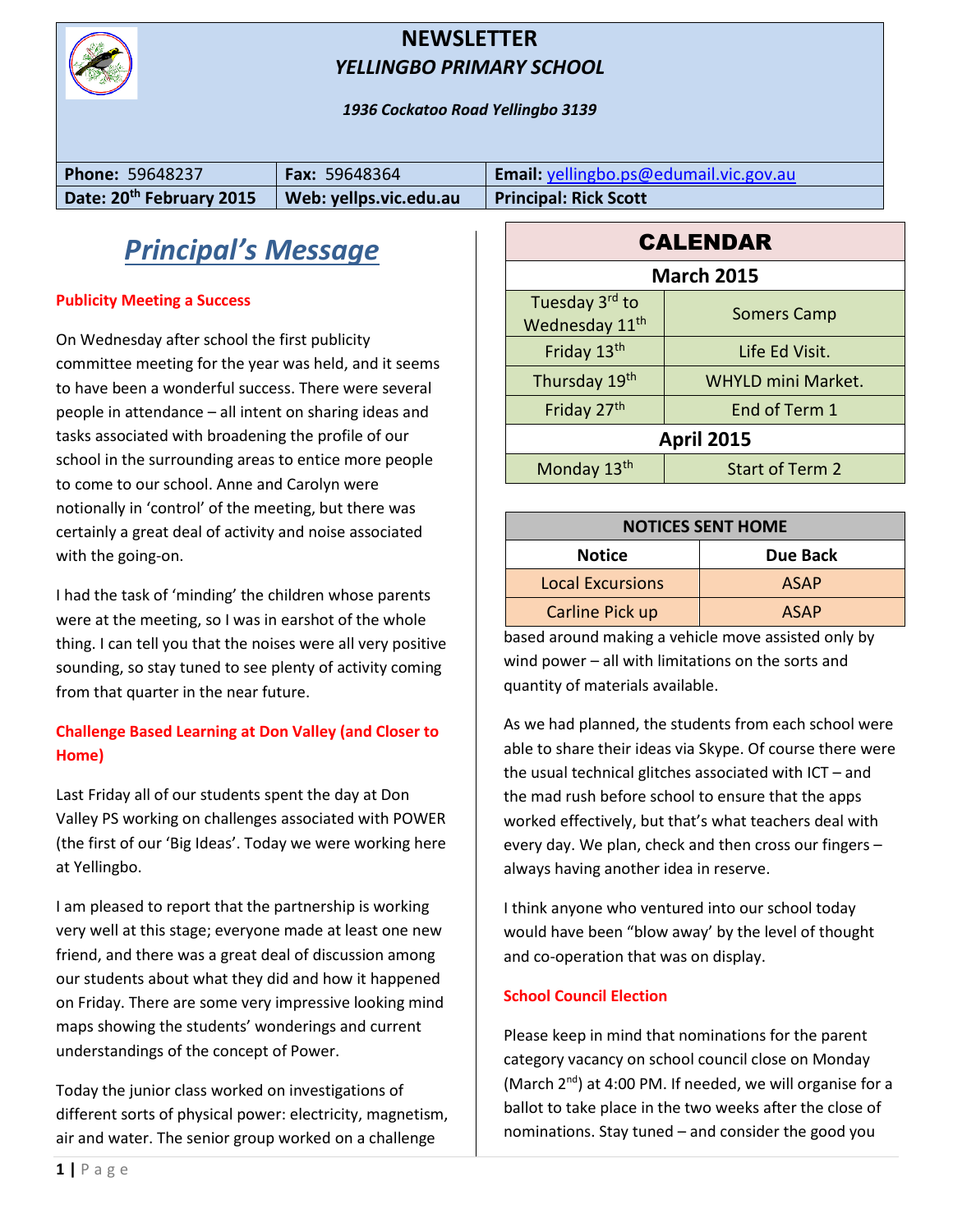

#### **NEWSLETTER** *YELLINGBO PRIMARY SCHOOL*

*1936 Cockatoo Road Yellingbo 3139*

| <b>Phone: 59648237</b>               | <b>Fax: 59648364</b>   | <b>Email:</b> yellingbo.ps@edumail.vic.gov.au |
|--------------------------------------|------------------------|-----------------------------------------------|
| Date: 20 <sup>th</sup> February 2015 | Web: yellps.vic.edu.au | <b>Principal: Rick Scott</b>                  |

## *Principal's Message*

#### **Publicity Meeting a Success**

On Wednesday after school the first publicity committee meeting for the year was held, and it seems to have been a wonderful success. There were several people in attendance – all intent on sharing ideas and tasks associated with broadening the profile of our school in the surrounding areas to entice more people to come to our school. Anne and Carolyn were notionally in 'control' of the meeting, but there was certainly a great deal of activity and noise associated with the going-on.

I had the task of 'minding' the children whose parents were at the meeting, so I was in earshot of the whole thing. I can tell you that the noises were all very positive sounding, so stay tuned to see plenty of activity coming from that quarter in the near future.

#### **Challenge Based Learning at Don Valley (and Closer to Home)**

Last Friday all of our students spent the day at Don Valley PS working on challenges associated with POWER (the first of our 'Big Ideas'. Today we were working here at Yellingbo.

I am pleased to report that the partnership is working very well at this stage; everyone made at least one new friend, and there was a great deal of discussion among our students about what they did and how it happened on Friday. There are some very impressive looking mind maps showing the students' wonderings and current understandings of the concept of Power.

Today the junior class worked on investigations of different sorts of physical power: electricity, magnetism, air and water. The senior group worked on a challenge

| <b>CALENDAR</b>                              |                           |  |  |
|----------------------------------------------|---------------------------|--|--|
| <b>March 2015</b>                            |                           |  |  |
| Tuesday 3rd to<br>Wednesday 11 <sup>th</sup> | <b>Somers Camp</b>        |  |  |
| Friday 13th                                  | Life Ed Visit.            |  |  |
| Thursday 19th                                | <b>WHYLD mini Market.</b> |  |  |
| Friday 27th                                  | End of Term 1             |  |  |
| <b>April 2015</b>                            |                           |  |  |
| Monday 13th                                  | <b>Start of Term 2</b>    |  |  |

| <b>NOTICES SENT HOME</b> |             |  |  |
|--------------------------|-------------|--|--|
| <b>Notice</b>            | Due Back    |  |  |
| <b>Local Excursions</b>  | <b>ASAP</b> |  |  |
| Carline Pick up          | <b>ASAP</b> |  |  |

based around making a vehicle move assisted only by wind power – all with limitations on the sorts and quantity of materials available.

As we had planned, the students from each school were able to share their ideas via Skype. Of course there were the usual technical glitches associated with ICT – and the mad rush before school to ensure that the apps worked effectively, but that's what teachers deal with every day. We plan, check and then cross our fingers – always having another idea in reserve.

I think anyone who ventured into our school today would have been "blow away' by the level of thought and co-operation that was on display.

#### **School Council Election**

Please keep in mind that nominations for the parent category vacancy on school council close on Monday (March 2<sup>nd</sup>) at 4:00 PM. If needed, we will organise for a ballot to take place in the two weeks after the close of nominations. Stay tuned – and consider the good you